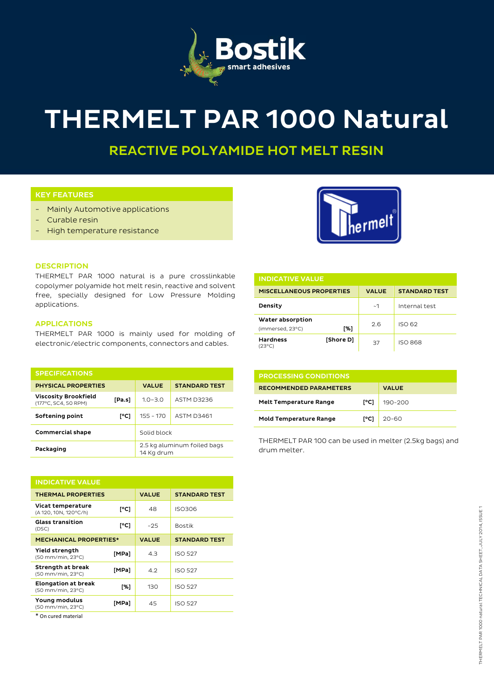

# THERMELT PAR 1000 Natural

REACTIVE POLYAMIDE HOT MELT RESIN

# KEY FEATURES

- Mainly Automotive applications
- Curable resin
- High temperature resistance



#### **DESCRIPTION**

THERMELT PAR 1000 natural is a pure crosslinkable copolymer polyamide hot melt resin, reactive and solvent free, specially designed for Low Pressure Molding applications.

# APPLICATIONS

THERMELT PAR 1000 is mainly used for molding of electronic/electric components, connectors and cables.

| <b>SPECIFICATIONS</b>                               |        |                                           |                      |
|-----------------------------------------------------|--------|-------------------------------------------|----------------------|
| <b>PHYSICAL PROPERTIES</b>                          |        | <b>VALUE</b>                              | <b>STANDARD TEST</b> |
| <b>Viscosity Brookfield</b><br>(177°C, SC4, 50 RPM) | [Pa.s] | $1.0 - 3.0$                               | ASTM D3236           |
| Softening point                                     | [°C]   | $155 - 170$                               | <b>ASTM D3461</b>    |
| <b>Commercial shape</b>                             |        | Solid block                               |                      |
| Packaging                                           |        | 2.5 kg aluminum foiled bags<br>14 Kg drum |                      |

| <b>INDICATIVE VALUE</b>                         |       |              |                      |  |  |
|-------------------------------------------------|-------|--------------|----------------------|--|--|
| <b>THERMAL PROPERTIES</b>                       |       | <b>VALUE</b> | <b>STANDARD TEST</b> |  |  |
| Vicat temperature<br>(A 120, 10N, 120°C/h)      | [°C]  | 48           | <b>ISO306</b>        |  |  |
| <b>Glass transition</b><br>(DSC)                | [°C]  | $-25$        | <b>Bostik</b>        |  |  |
| <b>MECHANICAL PROPERTIES*</b>                   |       | <b>VALUE</b> | <b>STANDARD TEST</b> |  |  |
| Yield strength<br>(50 mm/min, 23°C)             | [MPa] | 4.3          | <b>ISO 527</b>       |  |  |
| Strength at break<br>(50 mm/min, 23°C)          | [MPa] | 4.2          | <b>ISO 527</b>       |  |  |
| <b>Elongation at break</b><br>(50 mm/min, 23°C) | [%]   | 130          | <b>ISO 527</b>       |  |  |
| Young modulus<br>(50 mm/min, 23°C)              | [MPa] | 45           | <b>ISO 527</b>       |  |  |

\* On cured material

| <b>INDICATIVE VALUE</b>                     |           |              |                      |  |  |
|---------------------------------------------|-----------|--------------|----------------------|--|--|
| <b>MISCELLANEOUS PROPERTIES</b>             |           | <b>VALUE</b> | <b>STANDARD TEST</b> |  |  |
| Density                                     |           | ~1           | Internal test        |  |  |
| Water absorption<br>[%]<br>(immersed, 23°C) |           | 2.6          | ISO 62               |  |  |
| <b>Hardness</b><br>(23°C)                   | [Shore D] | 37           | <b>ISO 868</b>       |  |  |

| <b>PROCESSING CONDITIONS</b>  |      |              |  |  |
|-------------------------------|------|--------------|--|--|
| <b>RECOMMENDED PARAMETERS</b> |      | <b>VALUE</b> |  |  |
| <b>Melt Temperature Range</b> | [°C] | 190-200      |  |  |
| <b>Mold Temperature Range</b> | r°C1 | $20 - 60$    |  |  |

THERMELT PAR 100 can be used in melter (2.5kg bags) and drum melter.